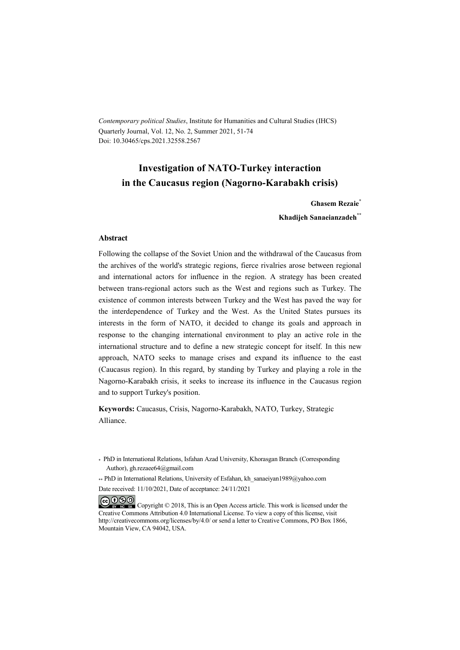*Contemporary political Studies*, Institute for Humanities and Cultural Studies (IHCS) Quarterly Journal, Vol. 12, No. 2, Summer 2021, 51-74 Doi: 10.30465/cps.2021.32558.2567

## **Investigation of NATO-Turkey interaction in the Caucasus region (Nagorno-Karabakh crisis)**

**Ghasem Rezaie\***

**Khadijeh Sanaeianzadeh\*\***

#### **Abstract**

Following the collapse of the Soviet Union and the withdrawal of the Caucasus from the archives of the world's strategic regions, fierce rivalries arose between regional and international actors for influence in the region. A strategy has been created between trans-regional actors such as the West and regions such as Turkey. The existence of common interests between Turkey and the West has paved the way for the interdependence of Turkey and the West. As the United States pursues its interests in the form of NATO, it decided to change its goals and approach in response to the changing international environment to play an active role in the international structure and to define a new strategic concept for itself. In this new approach, NATO seeks to manage crises and expand its influence to the east (Caucasus region). In this regard, by standing by Turkey and playing a role in the Nagorno-Karabakh crisis, it seeks to increase its influence in the Caucasus region and to support Turkey's position.

**Keywords:** Caucasus, Crisis, Nagorno-Karabakh, NATO, Turkey, Strategic Alliance.

\* PhD in International Relations, Isfahan Azad University, Khorasgan Branch (Corresponding Author), gh.rezaee64@gmail.com

\*\* PhD in International Relations, University of Esfahan, kh\_sanaeiyan1989@yahoo.com

Date received: 11/10/2021, Date of acceptance: 24/11/2021

COOO Copyright © 2018, This is an Open Access article. This work is licensed under the Creative Commons Attribution 4.0 International License. To view a copy of this license, visit http://creativecommons.org/licenses/by/4.0/ or send a letter to Creative Commons, PO Box 1866, Mountain View, CA 94042, USA.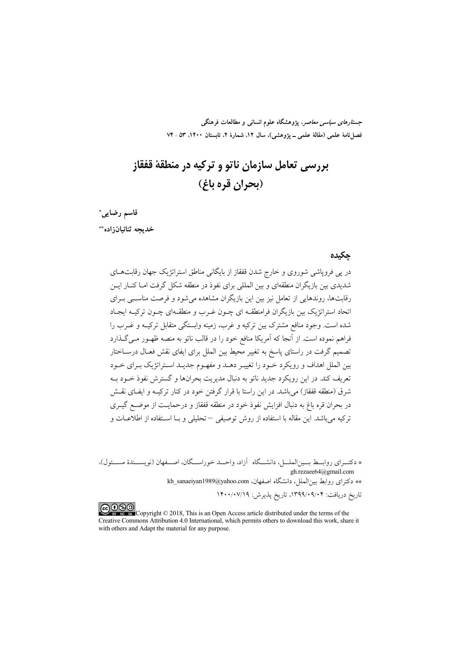*جستارهای سیاسی معاصر*، پژوهشگاه علوم انسانی و مطالعات فرهنگی فصل نامهٔ علمی (مقالهٔ علمی ــ یژوهشی)، سال ۱۲، شمارهٔ ۲، تابستان ۱۴۰۰، ۵۳ ـ ۷۴

# يررسي تعامل سازمان ناتو و تركيه در منطقهٔ قفقاز (بحران قره باغ)

قاسم رضايي\* خدىحه ثنائيان;اده\*\*

#### حكىدە

در پی فرویاشی شوروی و خارج شدن قفقاز از بایگانی مناطق استراتژیک جهان رقابتهــای شدیدی بین بازیگران منطقهای و بین المللی برای نفوذ در منطقه شکل گرفت امـا کنــار ایــن رقابتها، روندهایی از تعامل نیز بین این بازیگران مشاهده میشود و فرصت مناسبی بـرای اتحاد استراتژیک بین بازیگران فرامنطقــه ای چــون غــرب و منطقــهای چــون ترکیــه ایجـاد شده است. وجود منافع مشترک بین ترکیه و غرب، زمینه وابستگی متقابل ترکیـه و غــرب را .<br>فراهم نموده است. از آنجا که آمریکا منافع خود را در قالب ناتو به منصه ظهـور مـی گــذارد تصمیم گرفت در راستای پاسخ به تغییر محیط بین الملل برای ایفای نقش فعـال درسـاختار بین الملل اهداف و رویکرد خـود را تغییـر دهـد و مفهـوم جدیـد اسـتراتژیک بـرای خـود تعريف کند. در اين رويکرد جديد ناتو به دنبال مديريت بحرانها و گسترش نفوذ خـود بـه شرق (منطقه قفقاز) می باشد. در این راستا با قرار گرفتن خود در کنار ترکیـه و ایفـای نقـش در بحران قره باغ به دنبال افزایش نفوذ خود در منطقه قفقاز و درحمایـت از موضـع گیــری ترکیه میباشد. این مقاله با استفاده از روش توصیفی – تحلیلی و بـا اسـتفاده از اطلاعــات و

COOO www.com/Copyright © 2018, This is an Open Access article distributed under the terms of the Creative Commons Attribution 4.0 International, which permits others to download this work, share it with others and Adapt the material for any purpose.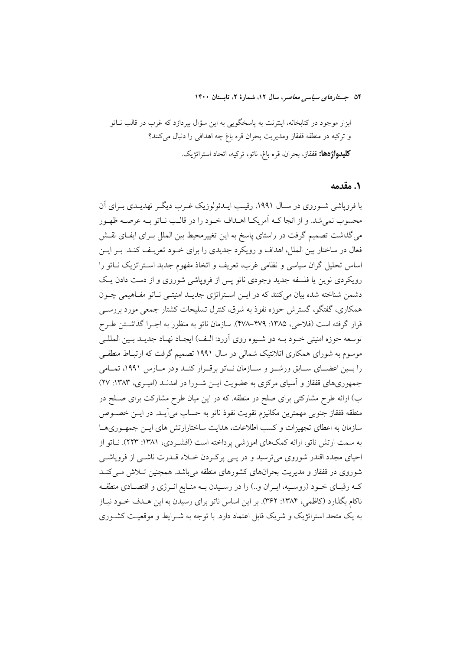#### ١. مقدمه

با فرویاشی شـوروی در سـال ۱۹۹۱، رقیـب ایــدئولوزیک غـرب دیگـر تهدیــدی بــرای اَن محسوب نمی شد. و از انجا کـه اَمریکـا اهـداف خـود را در قالـب نـاتو بـه عرصـه ظهـور می گذاشت تصمیم گرفت در راستای پاسخ به این تغییرمحیط بین الملل بـرای ایفـای نقـش فعال در ساختار بین الملل، اهداف و رویکرد جدیدی را برای خـود تعریـف کنـد. بـر ایـن اساس تحلیل گران سیاسی و نظامی غرب، تعریف و اتخاذ مفهوم جدید استراتزیک نـاتو را رویکردی نوین یا فلسفه جدید وجودی ناتو پس از فروپاشی شوروی و از دست دادن یک دشمن شناخته شده بیان میکنند که در ایـن اسـتراتژی جدیـد امنیتـی نـاتو مفـاهیمی چـون همکاری، گفتگو، گسترش حوزه نفوذ به شرق، کنترل تسلیحات کشتار جمعی مورد بررســی قرار گرفته است (فلاحی، ۱۳۸۵: ۴۷۹–۴۷۸). سازمان ناتو به منظور به اجـرا گذاشـتن طـرح توسعه حوزه امنیتی خــود بــه دو شــیوه روی آورد: الــف) ایجـاد نهــاد جدیــد بــین المللــی موسوم به شورای همکاری اتلانتیک شمالی در سال ۱۹۹۱ تصمیم گرفت که ارتبـاط منطقـی را بسین اعضـای سـابق ورشـو و سـازمان نـاتو برقـرار کنـد ودر مـارس ١٩٩١، تمـامی جمهوریهای قفقاز و آسیای مرکزی به عضویت ایـن شـورا در امدنـد (امیـری، ۱۳۸۳: ۲۷) ب) ارائه طرح مشارکتی برای صلح در منطقه. که در این میان طرح مشارکت برای صـلح در منطقه قفقاز جنوبي مهمترين مكانيزم تقويت نفوذ ناتو به حساب مي آيــد. در ايــن خصــوص سازمان به اعطای تجهیزات و کسب اطلاعات، هدایت ساختارارتش های ایـن جمهـوریهـا به سمت ارتش ناتو، ارائه کمکهای اموزشی پرداخته است (افشـردی، ۱۳۸۱: ۲۲۳). نـاتو از احیای مجدد اقتدر شوروی میترسید و در پسی پرکردن خلاء قلدرت ناشسی از فروپاشسی شوروی در قفقاز و مدیریت بحرانهای کشورهای منطقه میباشد. همچنین تـلاش مـیکنـد کـه رقبـاي خـود (روسـيه، ايـران و..) را در رسـيدن بــه منـابع انـرژي و اقتصـادي منطقــه ناکام بگذارد (کاظمی، ۱۳۸۴: ۳۶۲). بر این اساس ناتو برای رسیدن به این هـدف خــود نیــاز به یک متحد استراتژیک و شریک قابل اعتماد دارد. با توجه به شــرایط و موقعیـت کشــوری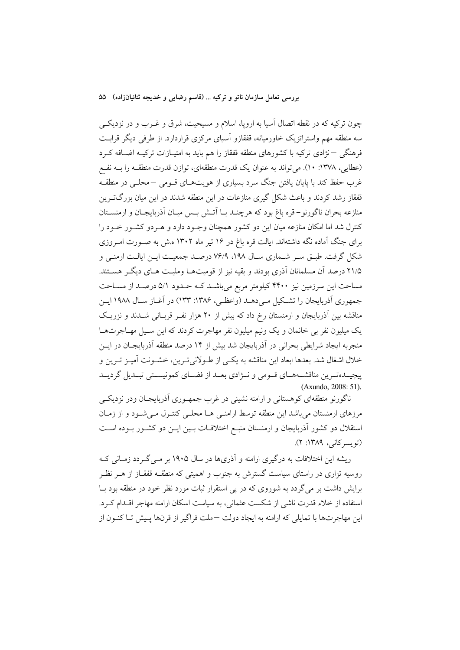چون ترکیه که در نقطه اتصال آسیا به اروپا، اسلام و مسیحیت، شرق و غــرب و در نزدیکــی سه منطقه مهم واستراتزیک خاورمیانه، قفقازو اسپای مرکزی قراردارد. از طرفی دیگر قرابت فرهنگی –نژادی ترکیه با کشورهای منطقه قفقاز را هم باید به امتیـازات ترکیــه اضــافه کــرد (عطایی، ۱۳۷۸: ۱۰). میتواند به عنوان یک قدرت منطقهای، توازن قدرت منطقـه را بـه نفـع غرب حفظ کند با پایان یافتن جنگ سرد بسیاری از هویتهـای قــومی –محلــی در منطقــه قفقاز رشد کردند و باعث شکل گیری منازعات در این منطقه شدند در این میان بزرگترین منازعه بحران ناگورنو–قره باغ بود که هرچنـد بـا آتـش بـس ميـان آذربايجـان و ارمنســتان کنترل شد اما امکان منازعه میان این دو کشور همچنان وجـود دارد و هـردو کشـور خـود را برای جنگ آماده نگه داشتهاند. ایالت قره باغ در ۱۶ تیر ماه ۱۳۰۲ ه.ش به صـورت امـروزی شکل گرفت. طبـق سـر شـماري سـال ١٩٨، ٧۶/٩ درصـد جمعيـت ايـن ايالـت ارمنـي و ۲۱/۵ درصد آن مسلمانان آذری بودند و بقیه نیز از قومیتهـا وملیـت هـای دیگـر هسـتند. مساحت این سرزمین نیز ۴۴۰۰ کیلومتر مربع می باشـد کـه حـدود ۵/۱ درصـد از مسـاحت جمهوری آذربایجان را تشکیل می دهـد (واعظـی، ۱۳۸۶: ۱۳۳) در آغـاز سـال ۱۹۸۸ ایـن مناقشه بین آذربایجان و ارمنستان رخ داد که بیش از ۲۰ هزار نفـر قربـانی شــدند و نزریـک یک میلیون نفر بی خانمان و یک ونیم میلیون نفر مهاجرت کردند که این سـیل مهـاجرتهـا منجربه ايجاد شرايطي بحراني در آذربايجان شد بيش از ۱۴ درصد منطقه آذربايجـان در ايــن خلال اشغال شد. بعدها ابعاد این مناقشه به یکس از طـولانی تـرین، خشـونت آمیـز تـرین و پیچیـدهتـرین مناقشـههـاي قـومي و نـژادي بعـد از فضـاي كمونيسـتي تبـديل گرديـد (Axundo, 2008: 51).

ناگورنو منطقهای کوهستانی و ارامنه نشینی در غرب جمهـوری أذربایجـان ودر نزدیکــی مرزهای ارمنستان میباشد این منطقه توسط ارامنـی هـا محلـی کنتـرل مـیشـود و از زمـان استقلال دو کشور آذربایجان و ارمنستان منبع اختلافات بـین ایـن دو کشـور بـوده اسـت (تويسركاني، ١٣٨٩: ٢).

ریشه این اختلافات به درگیری ارامنه و آذریها در سال ۱۹۰۵ بر مـی گـردد زمـانی کـه روسیه تزاری در راستای سیاست گسترش به جنوب و اهمیتی که منطقــه قفقــاز از هــر نظــر برایش داشت بر می گردد به شوروی که در پی استقرار ثبات مورد نظر خود در منطقه بود بـا استفاده از خلاء قدرت ناشی از شکست عثمانی، به سیاست اسکان ارامنه مهاجر اقلدام که د. این مهاجرتها با تمایلی که ارامنه به ایجاد دولت –ملت فراگیر از قرنها پـیش تـا کنــون از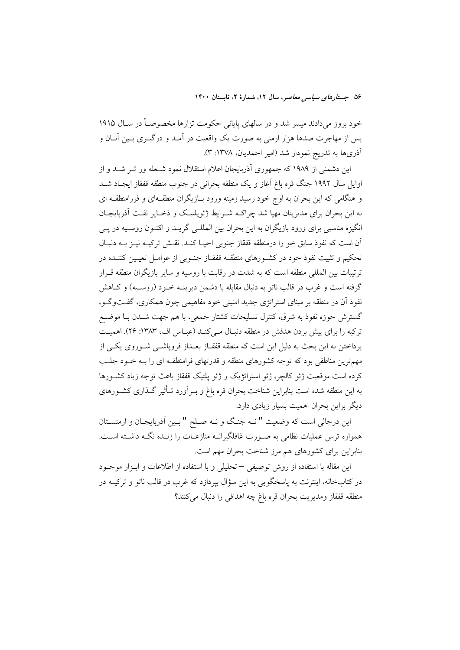خود بروز میدادند میسر شد و در سالهای پایانی حکومت تزارها مخصوصـاً در سـال ۱۹۱۵ یس از مهاجرت صدها هزار ارمنی به صورت یک واقعیت در آمـد و درگیــری بــین آنــان و أذرىها به تدريج نمودار شد (امير احمديان، ١٣٧٨: ٣).

این دشمنی از ۱۹۸۹ که جمهوری آذربایجان اعلام استقلال نمود شـعله ور تــر شــد و از اوایل سال ۱۹۹۲ جنگ قره باغ آغاز و یک منطقه بحرانی در جنوب منطقه قفقاز ایجـاد شــد و هنگامی که این بحران به اوج خود رسید زمینه ورود بـازیگران منطقـهای و فررامنطقـه ای به این بحران برای مدیریتان مهیا شد چراکـه شـرایط ژئویلتیـک و ذخـایر نفـت آذربایجـان انگیزه مناسبی برای ورود بازیگران به این بحران بین المللـی گریــد و اکنــون روســیه در پــی آن است که نفوذ سابق خو را درمنطقه قفقاز جنوبی احیـا کنـد. نقـش ترکیــه نیــز بــه دنبـال تحکیم و تثبت نفوذ خود در کشـورهای منطقـه قفقـاز جنـوبی از عوامـل تعبـین کننـده در ترتيبات بين المللي منطقه است كه به شدت در رقابت با روسيه و ساير بازيگران منطقه قـرار گرفته است و غرب در قالب ناتو به دنبال مقابله با دشمن دیرینـه خـود (روسـبه) و کــاهش نفوذ آن در منطقه بر مبنای استراتژی جدید امنیتی خود مفاهیمی چون همکاری، گفــتوگــو، گسترش حوزه نفوذ به شرق، کنترل تسلیحات کشتار جمعی، با هم جهت شــدن بــا موضــع ترکیه را برای پیش بردن هدفش در منطقه دنبال مـیکنـد (عبـاس اف، ۱۳۸۳: ۲۶). اهمیـت پرداختن به این بحث به دلیل این است که منطقه قفقـاز بعـداز فروپاشــی شــوروی یکــی از مهمترین مناطقی بود که توجه کشورهای منطقه و قدرتهای فرامنطقـه ای را بـه خــود جلــب کرده است موقعیت ژئو کالچر، ژئو استراتژیک و ژئو پلتیک قفقاز باعث توجه زیاد کشــورها به این منطقه شده است بنابراین شناخت بحران قره باغ و بـرآورد تـأثیر گـذاری کشـورهای دیگر براین بحران اهمیت بسیار زیادی دارد.

این درحالی است که وضعیت " نـه جنگ و نـه صـلح " بـین آذربایجـان و ارمنسـتان همواره ترس عملیات نظامی به صـورت غافلگیرانــه منازعــات را زنــده نگــه داشــته اســت. بنابراین برای کشورهای هم مرز شناخت بحران مهم است.

این مقاله با استفاده از روش توصیفی –تحلیلی و با استفاده از اطلاعات و ابـزار موجـود در کتابخانه، اینترنت به پاسخگویی به این سؤال بیردازد که غرب در قالب ناتو و ترکیــه در منطقه قفقاز ومديريت بحران قره باغ چه اهدافی را دنبال می كنند؟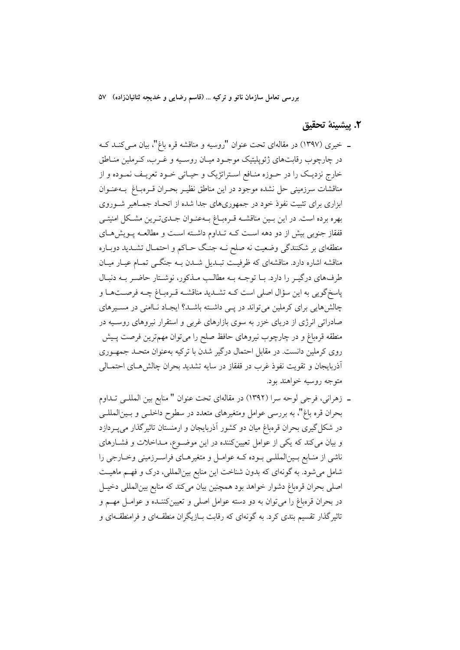#### ٢. يبشينة تحقيق

- ـ خیری (۱۳۹۷) در مقالهای تحت عنوان "روسیه و مناقشه قره باغ"، بیان مـیکنـد کـه در چارچوب رقابتهای ژئوپلیتیک موجـود میـان روسـیه و غــرب، کــرملین منــاطق خارج نزدیـک را در حـوزه منـافع اسـتراتژیک و حیـاتی خـود تعریـف نمـوده و از مناقشات سرزميني حل نشده موجود در اين مناطق نظيـر بحـران قـرهبـاغ بــهعنــوان ابزاری برای تثبیت نفوذ خود در جمهوریهای جدا شده از اتحـاد جمـاهیر شـوروی بهره برده است. در این بـین مناقشــه قـرهبــاغ بــهعنــوان جــدیتــرین مشــکل امنیتــی قفقاز جنوبی بیش از دو دهه است کـه تـداوم داشـته اسـت و مطالعـه پـویشهـای منطقهای بر شکنندگی وضعیت نه صلح نـه جنـگ حـاکم و احتمـال تشــدید دوبـاره مناقشه اشاره دارد. مناقشهای که ظرفیـت تبـدیل شـدن بـه جنگـی تمـام عیـار میـان طرفهای درگیر را دارد. بـا توجـه بـه مطالـب مـذکور، نوشـتار حاضـر بـه دنبـال پاسخ گویی به این سؤال اصلی است کـه تشـدید مناقشـه قـرهبـاغ چـه فرصـتهـا و چالش هایی برای کرملین می تواند در پس داشته باشد؟ ایجاد نـاامنی در مسـیرهای صادراتی انرژی از دریای خزر به سوی بازارهای غربی و استقرار نیروهای روسـیه در منطقه قرهباغ و در چارچوب نیروهای حافظ صلح را میتوان مهمترین فرصت پـیش روی کرملین دانست. در مقابل احتمال درگیر شدن با ترکیه بهعنوان متحـد جمهـوری أذربايجان و تقويت نفوذ غرب در قفقاز در سايه تشديد بحران چالش هـاي احتمــالي متوجه روسيه خواهند بود.
- ـ زهراني، فرجي لوحه سرا (١٣٩٢) در مقالهاي تحت عنوان " منابع بين المللـي تـداوم بحران قره باغ"، به بررسی عوامل ومتغیرهای متعدد در سطوح داخلـی و بـینالمللـی در شکل گیری بحران قرمباغ میان دو کشور آذربایجان و ارمنستان تاثیرگذار میپردازد و بیان می کند که یکی از عوامل تعیینکننده در این موضوع، مـداخلات و فشـارهای ناشی از منـابع بـینالمللـی بـوده کـه عوامـل و متغیرهـای فراسـرزمینی وخـارجی را شامل میشود. به گونهای که بدون شناخت این منابع بینالمللی، درک و فهـم ماهیــت اصلي بحران قرهباغ دشوار خواهد بود همچنين بيان مي كند كه منابع بينالمللي دخيـل در بحران قرهباغ را می توان به دو دسته عوامل اصلی و تعیینکننـده و عوامـل مهــم و تاثیر گذار تقسیم بندی کرد. به گونهای که رقابت بــازیگران منطقــهای و فرامنطقــهای و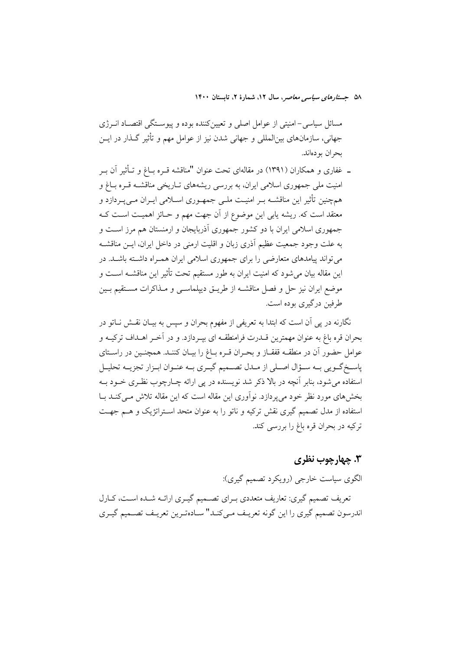مسائل سیاسی–امنیتی از عوامل اصلی و تعیینکننده بوده و پیوسـتگی اقتصـاد انــرژی جهانی، سازمانهای بین|لمللی و جهانی شدن نیز از عوامل مهم و تأثیر گـذار در ایــن بحران بو دەاند.

ــ غفاري و همكاران (١٣٩١) در مقالهاي تحت عنوان "مناقشه قــره بــاغ و تــأثير اَن بــر امنیت ملی جمهوری اسلامی ایران، به بررسی ریشههای تـاریخی مناقشــه قــره بــاغ و همچنین تأثیر این مناقشــه بــر امنیــت ملــی جمهــوری اســلامی ایــران مــی پــردازد و معتقد است که. ریشه یابی این موضوع از آن جهت مهم و حـائز اهمیـت اسـت کــه جمهوری اسلامی ایران با دو کشور جمهوری آذربایجان و ارمنستان هم مرز است و به علت وجود جمعیت عظیم اَذری زبان و اقلیت ارمنی در داخل ایران، ایــن مناقشــه می تواند پیامدهای متعارضی را برای جمهوری اسلامی ایران همبراه داشته باشید. در این مقاله بیان می شود که امنیت ایران به طور مستقیم تحت تأثیر این مناقشــه اســت و موضع ايران نيز حل و فصل مناقشــه از طريــق ديپلماســي و مــذاكرات مســتقيم بــين طرفين درگيري بوده است.

نگارنه در یی آن است که ابتدا به تعریفی از مفهوم بحران و سپس به بیـان نقــش نــاتو در بحران قره باغ به عنوان مهمترین قــدرت فرامنطقــه ای بپــردازد. و در آخــر اهــداف ترکیــه و عوامل حضور آن در منطقـه قفقـاز و بحـران قـره بـاغ را بيـان كننـد. همچنـين در راسـتاي پاسـخ گــويي بــه ســؤال اصــلي از مــدل تصــميم گيــري بــه عنــوان ابــزار تجزيــه تحليــل استفاده می شود، بنابر آنچه در بالا ذکر شد نویسنده در پی ارائه چـارچوب نظـری خــود بــه بخشهای مورد نظر خود می پردازد. نوآوری این مقاله است که این مقاله تلاش مـی کنــد بــا استفاده از مدل تصمیم گیری نقش ترکیه و ناتو را به عنوان متحد استراتژیک و هـم جهـت ترکيه در بحران قره باغ را بررسي کند.

## ۳. چهارچوب نظري

الگوي سياست خارجي (رويکرد تصميم گيري):

تعریف تصمیم گیری: تعاریف متعددی بـرای تصــمیم گیـری ارائــه شــده اســت، کــارل اندرسون تصميم گيري را اين گونه تعريـف مـي5نـد" سـادهتـرين تعريـف تصـميم گيـري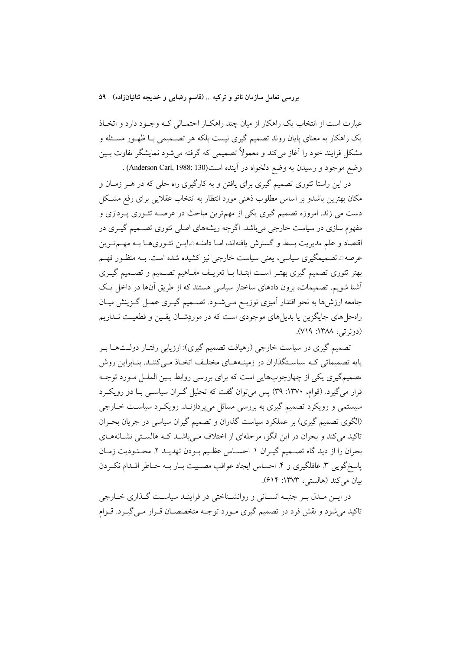عبارت است از انتخاب یک راهکار از میان چند راهکـار احتمـالی کـه وجـود دارد و اتخـاذ یک راهکار به معنای پایان روند تصمیم گیری نیست بلکه هر تصــمیمی بـا ظهــور مســئله و مشکل فرایند خود را آغاز میکند و معمولاً تصمیمی که گرفته میشود نمایشگر تفاوت بـین وضع موجود و رسيدن به وضع دلخواه در آينده است(Anderson Carl, 1988: 130) .

در این راستا تئوری تصمیم گیری برای یافتن و به کارگیری راه حلی که در هــر زمــان و مکان بهترین باشدو بر اساس مطلوب ذهنی مورد انتظار به انتخاب عقلایی برای رفع مشکل دست می زند. امروزه تصمیم گیری یکی از مهمترین مباحث در عرصـه تئــوری پــردازی و مفهوم سازی در سیاست خارجی میباشد. اگرچه ریشههای اصلی تئوری تصـمیم گیـری در اقتصاد و علم مدیریت بسط و گسترش یافتهاند، امــا دامنــه©ایــن تئــوریهــا بــه مهــمتــرین عرصه0 تصمیمگیری سیاسی، یعنی سیاست خارجی نیز کشیده شده است. بــه منظـور فهــم بهتر تئوري تصميم گيري بهتـر اسـت ابتـدا بـا تعريـف مفـاهيم تصـميم و تصـميم گيـري أشنا شویم. تصمیمات، برون دادهای ساختار سیاسی هستند که از طریق آنها در داخل یک جامعه ارزشها به نحو اقتدار آمیزی توزیـع مـیشـود. تصـمیم گیـری عمـل گـزینش میـان راهحلهای جایگزین یا بدیلهای موجودی است که در موردِشـان یقـین و قطعیـت نــداریم (دوئرتي، ١٣٨٨: ٧١٩).

تصمیم گیری در سیاست خارجی (رهیافت تصمیم گیری): ارزیابی رفتـار دولــتهــا بــر یایه تصمیماتی کـه سیاسـتگذاران در زمینـههـای مختلـف اتخـاذ مـی کننـد. بنـابراین روش تصمیمگیری یکی از چهارچوبهایی است که برای بررسی روابط بـین الملـل مـورد توجـه قرار می گیرد. (قوام، ۱۳۷۰: ۳۹) پس می توان گفت که تحلیل گـران سیاســی بــا دو رویکــرد سیستمی و رویکرد تصمیم گیری به بررسی مسائل میپردازنـد. رویکـرد سیاسـت خــارجی (الگوی تصمیم گیری) بر عملکرد سیاست گذاران و تصمیم گیران سیاسی در جریان بحـران تاکید می کند و بحران در این الگو، مرحلهای از اختلاف مـیباشـد کـه هالسـتی نشـانههـای بحران را از ديد گاه تصـميم گيـران ١. احسـاس عظـيم بـودن تهديـد ٢. محـدوديت زمـان پاسخگویی ۳. غافلگیری و ۴. احساس ایجاد عواقب مصـیبت بـار بــه خــاطر اقــدام نکــردن بيان مركند (هالستر، ١٣٧٣: ۶١۴).

در ایــن مــدل بــر جنبــه انســانی و روانشــناختی در فراینــد سیاســت گــذاری خــارجی تاکید می شود و نقش فرد در تصمیم گیری مـورد توجـه متخصصـان قـرار مـی گیـرد. قـوام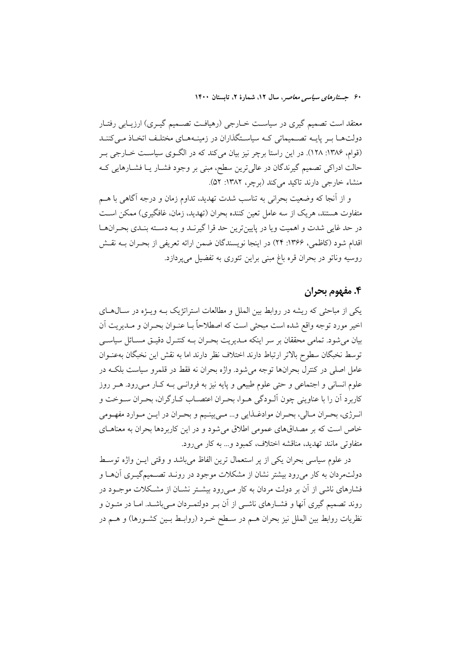معتقد است تصمیم گیری در سیاست خـارجی (رهیافـت تصـمیم گیـری) ارزیـابی رفتـار دولتها بر پایـه تصـمیماتی کـه سیاسـتگذاران در زمینـههـای مختلـف اتخـاذ مـی کننـد (قوام، ۱۳۸۶: ۱۲۸). در این راستا برچر نیز بیان میکند که در الگـوی سیاســت خــارجی بــر حالت ادراکی تصمیم گیرندگان در عالیترین سطح، مبنی بر وجود فشـار یــا فشــارهایی کــه منشاء خارجي دارند تاكيد مي كند (برچر، ١٣٨٢: ۵٢).

و از آنجا که وضعیت بحرانی به تناسب شدت تهدید، تداوم زمان و درجه آگاهی با هــم متفاوت هستند، هریک از سه عامل تعین کننده بحران (تهدید، زمان، غافگیری) ممکن اسـت در حد غايي شدت و اهميت ويا در پايينترين حد قرا گيرنـد و بـه دسـته بنـدي بحـرانهـا اقدام شود (كاظمى، ۱۳۶۶: ۲۴) در اينجا نويسندگان ضمن ارائه تعريفي از بحـران بــه نقـش روسیه وناتو در بحران قره باغ مبنی براین تئوری به تفضیل می پردازد.

#### ۴. مفهوم بحران

یکی از مباحثی که ریشه در روابط بین الملل و مطالعات استراتژیک بـه ویـژه در سـال۱صای اخير مورد توجه واقع شده است مبحثي است كه اصطلاحاً بـا عنـوان بحـران و مـديريت آن بیان میشود. تمامی محققان بر سر اینکه مـدیریت بحـران بــه کنتـرل دقیــق مســائل سیاســی توسط نخبگان سطوح بالاتر ارتباط دارند اختلاف نظر دارند اما به نقش این نخبگان بهعنـوان عامل اصلی در کنترل بحرانها توجه میشود. واژه بحران نه فقط در قلمرو سیاست بلکـه در علوم انسانی و اجتماعی و حتی علوم طبیعی و پایه نیز به فروانـی بــه کـار مــیرود. هــر روز كاربرد أن را با عناويني چون ألـودگي هـوا، بحـران اعتصــاب كــارگران، بحـران ســوخت و انرژي، بحران مـالي، بحـران موادغـذايي و... مـيبينـيم و بحـران در ايـن مـوارد مفهـومي خاص است که بر مصداقهای عمومی اطلاق میشود و در این کاربردها بحران به معناهـای متفاوتی مانند تهدید، مناقشه اختلاف، کمبود و... به کار می رود.

در علوم سیاسی بحران یکی از یر استعمال ترین الفاظ می باشد و وقتی ایــن واژه توسـط دولتمردان به کار میرود بیشتر نشان از مشکلات موجود در رونـد تصــمیمگیــری اَن&ـا و فشارهای ناشی از آن بر دولت مردان به کار مـی(ود بیشـتر نشـان از مشـکلات موجـود در روند تصمیم گیری آنها و فشـارهای ناشـی از آن بـر دولتمـردان مـیباشـد. امـا در متـون و نظریات روابط بین الملل نیز بحران هـم در سـطح خـرد (روابـط بـین کشـورها) و هــم در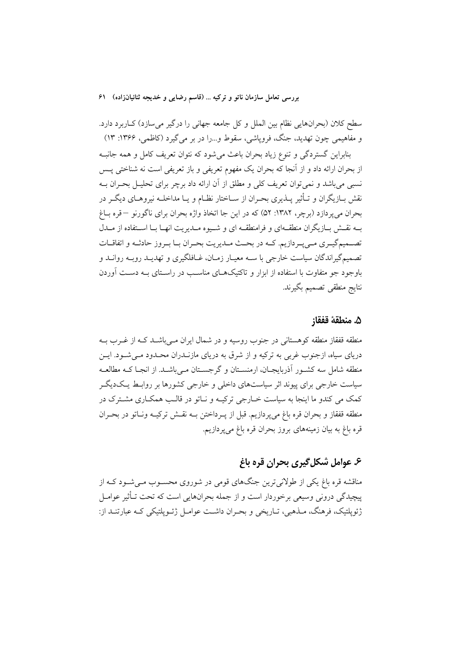سطح کلان (بحرانهایی نظام بین الملل و کل جامعه جهانی را درگیر میسازد) کـاربرد دارد. و مفاهیمی چون تهدید، جنگ، فرویاشی، سقوط و…را در بر می گیرد (کاظمی، ۱۳۶۶: ۱۳)

بنابراین گستردگی و تنوع زیاد بحران باعث می شود که نتوان تعریف کامل و همه جانبـه از بحران ارائه داد و از آنجا که بحران یک مفهوم تعریفی و باز تعریفی است نه شناختی پــس نسبی می باشد و نمی توان تعریف کلی و مطلق از آن ارائه داد برچر برای تحلیـل بحـران بــه نقش بــازیگران و تــأثیر پــذیری بحــران از ســاختار نظــام و یــا مداخلــه نیروهــای دیگــر در بحران مي يردازد (برچر، ١٣٨٢: ٥٢) كه در اين جا اتخاذ واژه بحران براي ناگورنو –قره بـاغ بـه نقـش بـازيگران منطقـهاي و فرامنطقـه اي و شـيوه مــديريت انهـا بـا اسـتفاده از مــدل تصــمیمگیــری مــی پــردازیم. کــه در بحــث مــدیریت بحــران بــا بــروز حادثــه و اتفاقــات تصمیمگیراندگان سیاست خارجی با ســه معیــار زمــان، غــافلگیری و تهدیــد رویــه روانــد و باوجود جو متفاوت با استفاده از ابزار و تاکتیکهـای مناسـب در راسـتای بــه دسـت آوردن نتايج منطقى تصميم بگيرند.

#### ۵. منطقهٔ قفقا;

منطقه قفقاز منطقه کوهستانی در جنوب روسیه و در شمال ایران مــیباشــد کــه از غــرب بــه دریای سیاه، ازجنوب غربی به ترکیه و از شرق به دریای مازنــدران محــدود مــی شــود. ایــن منطقه شامل سه کشـور آذربایجـان، ارمنسـتان و گرجسـتان مـی باشـد. از انجـا کـه مطالعـه سیاست خارجی برای پیوند اثر سیاستهای داخلی و خارجی کشورها بر روابـط یـکدیگـر کمک می کندو ما اینجا به سیاست خــارجی ترکیــه و نــاتو در قالــب همکــاری مشــترک در منطقه قفقاز و بحران قره باغ مىپردازيم. قبل از پــرداختن بــه نقــش تركيــه ونــاتو در بحــران قره باغ به بیان زمینههای بروز بحران قره باغ میپردازیم.

# ۶. عوامل شکل گیری بحران قره باغ

مناقشه قره باغ یکی از طولانیترین جنگهای قومی در شوروی محسـوب مـی شـود کـه از پیچیدگی درونی وسیعی برخوردار است و از جمله بحرانهایی است که تحت تـأثیر عوامــل ژئوپلتیک، فرهنگ، مــذهبی، تــاریخی و بحــران داشــت عوامــل ژئــوپلتیکی کــه عبارتنــد از: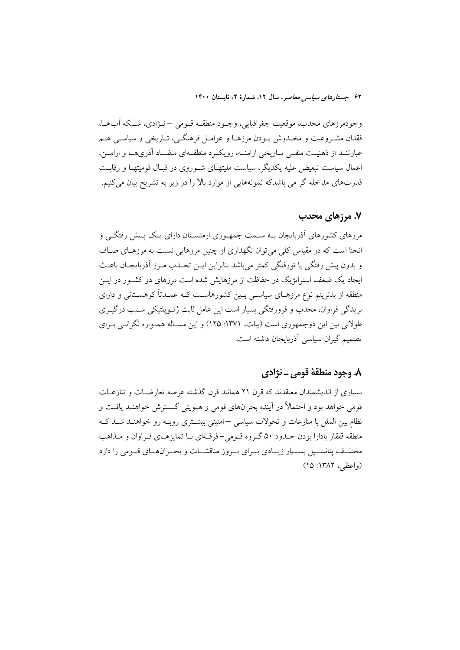وجودمرزهاي محدب، موقعيت جغرافيايي، وجــود منطقــه قــومي −نــژادي، شــبكه آبِهــا، فقدان مشـروعيت و مخـدوش بــودن مرزهــا و عوامــل فرهنگــي، تــاريخي و سياســي هــم عبارتنــد از ذهنيــت منفــي تــاريخي ارامنــه، رويكــرد منطقــهاي متضــاد أذرىهــا و ارامــن، اعمال سیاست تبعیض علیه یکدیگر، سیاست ملیتهـای شـوروی در قبـال قومیتهـا و رقابـت قدرتهای مداخله گر می باشدکه نمونههایی از موارد بالا را در زیر به تشریح بیان میکنیم.

## ۷. مرزهای محدب

مرزهای کشورهای اَذربایجان بـه سـمت جمهـوری ارمنسـتان دارای یـک پـیش رفتگـی و انحنا است که در مقیاس کلی می توان نگهداری از چنین مرزهایی نسبت به مرزهـای صـاف و بدون پیش رفتگی یا تورفتگی کمتر می باشد بنابراین ایــن تحـدب مــرز آذربایجــان باعــث ایجاد یک ضعف استراتژیک در حفاظت از مرزهایش شده است مرزهای دو کشـور در ایــن منطقه از بدترینم نوع مرزهـای سیاســی بــین کشورهاســت کــه عمــدتاً کوهســتانی و دارای بریدگی فراوان، محدب و فرورفتگی بسیار است این عامل ثابت ژئــوپلتیکی ســبب درگیــری طولانی بین این دوجمهوری است (بیات، ۱۳۷۱: ۱۲۵) و این مسـاله همـواره نگرانـی بـرای تصميم گيران سياسي آذربايجان داشته است.

## ٨. وجود منطقهٔ قومي ـ نژادي

بسیاری از اندیشمندان معتقدند که قرن ۲۱ همانند قرن گذشته عرصه تعارضــات و تنازعــات قومی خواهد بود و احتمالاً در آینده بحرانهای قومی و هــویتی گســترش خواهنــد یافــت و نظام مین الملل یا منازعات و تحولات سیاسی –امنیتی پیشتری روپه رو خواهنید شید کیه منطقه قفقاز بادارا بودن حــدود ۵۰ گــروه قــومي-فرقــهاي بــا تمايزهــاي فــراوان و مــذاهب مختلــف پتانســـيل بســيار زيـــادي بـــراي بــروز مناقشــات و بحــرانهــاي قــومي را دارد (واعظی، ۱۳۸۲: ۱۵)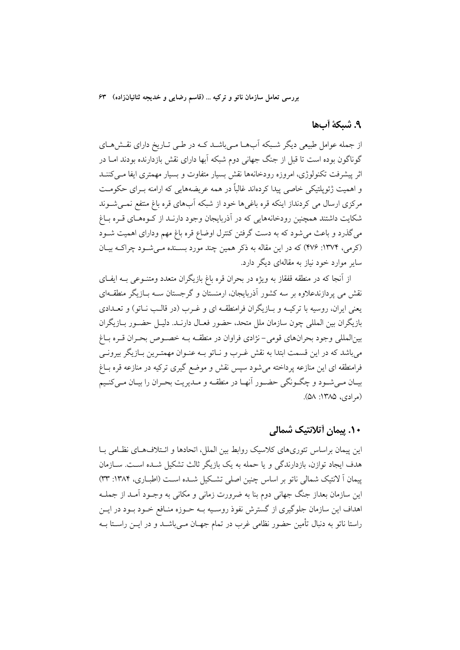#### ٩. شيكة أبها

از جمله عوامل طبیعی دیگر شـبکه آبهــا مــیباشــد کــه در طــی تــاریخ دارای نقــشهــای گوناگون بوده است تا قبل از جنگ جهانی دوم شبکه آبها دارای نقش بازدارنده بودند امـا در اثر پیشرفت تکنولوژی، امروزه رودخانهها نقش بسیار متفاوت و بسیار مهمتری ایفا مبی کننــد و اهمیت ژئوپلتیکی خاصی پیدا کردهاند غالباً در همه عریضههایی که ارامنه بـرای حکومـت مرکزی ارسال می کردنداز اینکه قره باغی ها خود از شبکه آبهای قره باغ منتفع نمــی شــوند شکایت داشتند همچنین رودخانههایی که در آذربایجان وجود دارنـد از کـوههـای قـره بـاغ می گذرد و باعث می شود که به دست گرفتن کنترل اوضاع قره باغ مهم ودارای اهمیت شـود (کرمی، ۱۳۷۴: ۴۷۶) که در این مقاله به ذکر همین چند مورد بسـنده مـیشـود چراکـه بیـان سایر موارد خود نیاز به مقالهای دیگر دارد.

از آنجا که در منطقه قفقاز به ویژه در بحران قره باغ بازیگران متعدد ومتنــوعی بــه ایفــای نقش می یردازندعلاوه بر سه کشور آذربایجان، ارمنستان و گرجستان ســه بــازیگر منطقــهای یعنی ایران، روسیه با ترکیـه و بـازیگران فرامنطقـه ای و غـرب (در قالـب نـاتو) و تعــدادی بازیگران بین المللی چون سازمان ملل متحد، حضور فعـال دارنــد. دلیــل حضــور بــازیگران بينالمللي وجود بحرانهاي قومي-نژادي فراوان در منطقـه بـه خصـوص بحـران قـره بـاغ می باشد که در این قسمت ابتدا به نقش غـرب و نــاتو بــه عنــوان مهمتــرین بــازیگر بیرونــی فرامنطقه ای این منازعه پرداخته می شود سپس نقش و موضع گیری ترکیه در منازعه قره بـاغ بيـان مـي شـود و چگـونگي حضـور أنهـا در منطقـه و مـديريت بحـران را بيـان مـيكنـيم (مرادي، ١٣٨٥: ٥٨).

## ۱۰. پیمان أتلانتیک شمالی

این پیمان براساس تئوریهای کلاسیک روابط بین الملل، اتحادها و ائـتلافهـای نظـامی بـا هدف ايجاد توازن، بازدارندگي و يا حمله به يک بازيگر ثالث تشکيل شــده اســت. ســازمان پیمان اً لانتیک شمالی ناتو بر اساس چنین اصلی تشکیل شـده اسـت (اطبــاری، ۱۳۸۴: ۳۳) این سازمان بعداز جنگ جهانی دوم بنا به ضرورت زمانی و مکانی به وجـود آمـد از جملـه اهداف این سازمان جلوگیری از گسترش نفوذ روسـیه بـه حـوزه منـافع خـود بـود در ایــن راستا ناتو به دنبال تأمین حضور نظامی غرب در تمام جهـان مــیباشــد و در ایــن راســتا بــه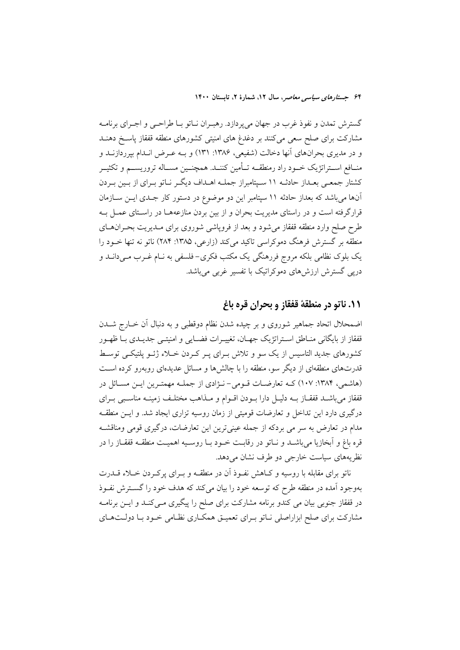گسترش تمدن و نفوذ غرب در جهان مي پردازد. رهبـران نـاتو بـا طراحـي و اجـراي برنامـه مشارکت برای صلح سعی میکنند بر دغدغ های امنیتی کشورهای منطقه قفقاز پاسخ دهنــد و در مدیری بحرانهای آنها دخالت (شفیعی، ۱۳۸۶: ۱۳۱) و بـه عـرض انـدام بپرردازنــد و منــافع اســتراتژيک خــود راد رمنطقــه تــأمين کننــد. همچنــين مســاله تروريســـم و تکثيــر کشتار جمعـی بعـداز حادثـه ۱۱ سـپتامبراز جملـه اهـداف ديگـر نـاتو بـراي از بـين بـردن آنها میباشد که بعداز حادثه ۱۱ سپتامبر این دو موضوع در دستور کار جـدی ایــن ســازمان قرارگرفته است و در راستای مدیریت بحران و از بین بردن منازعههـا در راسـتای عمـل بـه طرح صلح وارد منطقه قفقاز مى شود و بعد از فروپاشى شوروى براى مـديريت بحـران،حـاى منطقه بر گسترش فرهنگ دموکراسی تاکید میکند (زارعی، ۱۳۸۵: ۲۸۴) ناتو نه تنها خـود را یک بلوک نظامی بلکه مروج فررهنگی یک مکتب فکری–فلسفی به نـام غـرب مـیدانــد و دریی گسترش ارزشهای دموکراتیک با تفسیر غربی میباشد.

## ١١. ناتو در منطقة قفقاز و بحران قره باغ

اضمحلال اتحاد جماهیر شوروی و بر چیده شدن نظام دوقطبی و به دنبال آن خــارج شــدن قفقاز از بايگاني منــاطق اســتراتژيک جهــان، تغييــرات فضــايي و امنيتــي جديــدي بــا ظهــور کشورهای جدید التاسیس از یک سو و تلاش بـرای پـر کـردن خـلاء ژئــو پلتیکــی توسـط قدرتهای منطقهای از دیگر سو، منطقه را با چالشها و مسائل عدیدهای روبهرو کرده است (هاشمی، ۱۳۸۴: ۱۰۷) کـه تعارضـات قـومی-نـژادی از جملـه مهمتـرین ایـن مسـائل در قفقاز میباشـد قفقـاز بـه دليـل دارا بـودن اقـوام و مـذاهب مختلـف زمينـه مناسـبي بـراي درگیری دارد این تداخل و تعارضات قومیتی از زمان روسیه تزاری ایجاد شد. و ایـن منطقـه مدام در تعارض به سر می بردکه از جمله عینیترین این تعارضات، درگیری قومی ومناقشـه قره باغ و اّبخازیا میباشــد و نــاتو در رقابــت خــود بــا روســیه اهمیــت منطقــه قفقــاز را در نظريههاي سياست خارجي دو طرف نشان مي دهد.

ناتو برای مقابله با روسیه و کـاهش نفـوذ آن در منطقـه و بــرای پرکــردن خــلاء قــدرت بهوجود آمده در منطقه طرح که توسعه خود را بیان میکند که هدف خود را گســترش نفــوذ در قفقاز جنوبی بیان می کندو برنامه مشارکت برای صلح را پیگیری مـیکنـد و ایــن برنامــه مشارکت برای صلح ابزاراصلی نـاتو بـرای تعمیـق همکـاری نظـامی خـود بـا دولـتهـای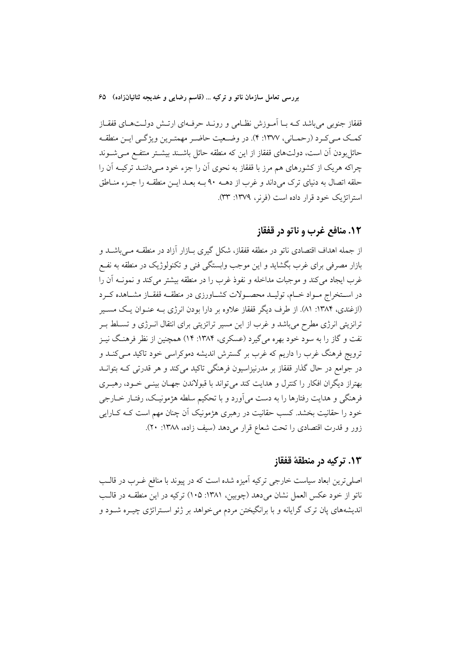قفقاز جنوبی میباشد کـه بــا اَمــوزش نظــامی و رونــد حرفــهای ارتــش دولــتهــای قفقــاز كمك مـي كـرد (رحمـاني، ١٣٧٧: ۴). در وضـعيت حاضـر مهمتـرين ويژگـي ايـن منطقـه حائل بودن آن است، دولتهای قفقاز از این که منطقه حائل باشـند بیشـتر منتفـع مـی.شـوند چراکه هریک از کشورهای هم مرز با قفقاز به نحوی آن را جزء خود مـیداننـد ترکیــه آن را حلقه اتصال به دنیای ترک میداند و غرب از دهــه ۹۰ بــه بعــد ایــن منطقــه را جــزء منــاطق استراتژیک خود قرار داده است (فرنر، ۱۳۷۹: ۳۳).

#### **۱۲. منافع غرب و ناتو در قفقاز**

از جمله اهداف اقتصادی ناتو در منطقه قفقاز، شکل گیری بــازار آزاد در منطقــه مــی!شــد و بازار مصرفی برای غرب بگشاید و این موجب وابستگی فنی و تکنولوژیک در منطقه به نفـع غرب ایجاد میکند و موجبات مداخله و نفوذ غرب را در منطقه بیشتر میکند و نمونــه آن را در اســتخراج مــواد خــام، توليــد محصــولات كشــاورزى در منطقــه قفقــاز مشــاهده كــرد (ازغندی، ۱۳۸۴: ۸۱). از طرف دیگر قفقاز علاوه بر دارا بودن انرژی بـه عنـوان یـک مسـیر ترانزیتی انرژی مطرح میباشد و غرب از این مسیر تراتزیتی برای انتقال انـرژی و تسـلط بـر نفت و گاز را به سود خود بهره می گیرد (عسکری، ۱۳۸۴: ۱۴) همچنین از نظر فرهنگ نیـز ترویج فرهنگ غرب را داریم که غرب بر گسترش اندیشه دموکراسی خود تاکید مـیکنــد و در جوامع در حال گذار قفقاز بر مدرنیزاسیون فرهنگی تاکید میکند و هر قدرتی کـه بتوانــد بهتراز دیگران افکار را کنترل و هدایت کند می تواند با قبولاندن جهـان بینــی خــود، رهبــری فرهنگی و هدایت رفتارها را به دست میآورد و با تحکیم سلطه هژمونیک، رفتـار خــارجی خود را حقانیت بخشد. کسب حقانیت در رهبری هژمونیک آن چنان مهم است کـه کــارایی زور و قدرت اقتصادی را تحت شعاع قرار میدهد (سیف زاده، ۱۳۸۸: ۲۰).

#### **۱۳. ترکیه در منطقهٔ قفقاز**

اصلی ترین ابعاد سیاست خارجی ترکیه آمیزه شده است که در پیوند با منافع غـرب در قالـب ناتو از خود عکس العمل نشان میدهد (چوبین، ۱۳۸۱: ۱۰۵) ترکیه در این منطقــه در قالــب اندیشههای پان ترک گرایانه و با برانگیختن مردم می خواهد بر ژئو اسـتراتژی چیـره شـود و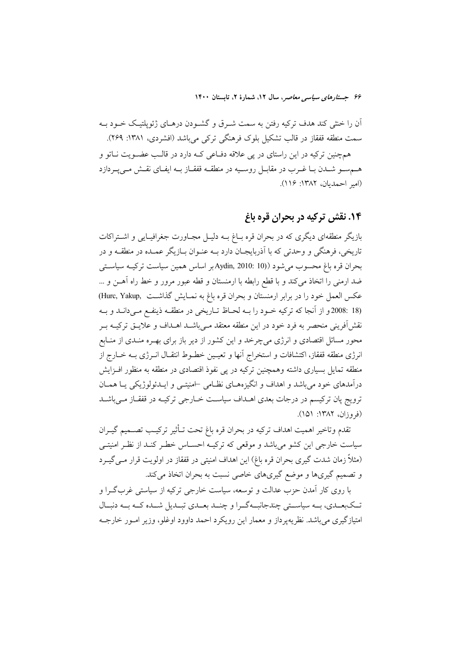آن را خنثی کند هدف ترکیه رفتن به سمت شـرق و گشـودن درهـای ژئوپلتیـک خـود بـه سمت منطقه قفقاز در قالب تشکیل بلوک فرهنگی ترکی میباشد (افشردی، ۱۳۸۱: ۲۶۹).

همچنین ترکیه در این راستای در پی علاقه دفــاعی کــه دارد در قالـب عضــویت نــاتو و هـمسـو شـدن بـا غـرب در مقابـل روسـيه در منطقــه قفقــاز بــه ايفــاي نقــش مــى يــردازد (امير احمديان، ١٣٨٢: ١١۶).

## ۱۴. نقش ترکیه در بحران قره باغ

بازیگر منطقهای دیگری که در بحران قره بـاغ بــه دلیـل مجـاورت جغرافیـایی و اشـتراکات تاریخی، فرهنگی و وحدتی که با آذربایجـان دارد بـه عنـوان بـازیگر عمـده در منطقـه و در بحران قره باغ محسوب مي شود (Aydin, 2010: 10) بر اساس همين سياست تركيـه سياسـتي ضد ارمنی را اتخاذ میکند و با قطع رابطه با ارمنستان و قطه عبور مرور و خط راه آهـن و … عكس العمل خود را در برابر ارمنستان و بحران قره باغ به نمـايش گذاشـت ,Hurc, Yakup) (18 :2008و از آنجا که ترکیه خــود را بــه لحــاظ تــاریخی در منطقــه ذینفــع مــیدانــد و بــه نقش[فرینی منحصر به فرد خود در این منطقه معتقد مـیباشــد اهــداف و علایــق ترکیــه بــر محور مسائل اقتصادی و انرژی میچرخد و این کشور از دیر باز برای بهـره منـدی از منـابع انرژی منطقه قفقاز، اکتشافات و استخراج آنها و تعیـین خطـوط انتقـال انــرژی بــه خــارج از منطقه تمایل بسیاری داشته وهمچنین ترکیه در پی نفوذ اقتصادی در منطقه به منظور افـزایش درآمدهای خود می باشد و اهداف و انگیزههـای نظـامی –امنیتــی و ایــدئولوژیکی یــا همــان ترویج پان ترکیسم در درجات بعدی اهــداف سیاســت خــارجی ترکیــه در قفقــاز مــیباشــد (فروزان، ۱۳۸۲: ۱۵۱).

تقدم وتاخير اهميت اهداف تركيه در بحران قره باغ تحت تـأثير تركيـب تصــميم گيــران سیاست خارجی این کشو میباشد و موقعی که ترکیـه احسـاس خطـر کنـد از نظـر امنیتـی (مثلاً زمان شدت گیری بحران قره باغ) این اهداف امنیتی در قفقاز در اولویت قرار مـی گیـرد و تصمیم گیریها و موضع گیریهای خاصی نسبت به بحران اتخاذ میکند.

با روی کار آمدن حزب عدالت و توسعه، سیاست خارجی ترکیه از سیاستی غربگـرا و تـکبعـدي، بــه سياســتي چندجانبــهگــرا و چنــد بعــدي تبــديل شــده کــه بــه دنبــال امتیازگیری می باشد. نظریه پرداز و معمار این رویکرد احمد داوود اوغلو، وزیر امـور خارجـه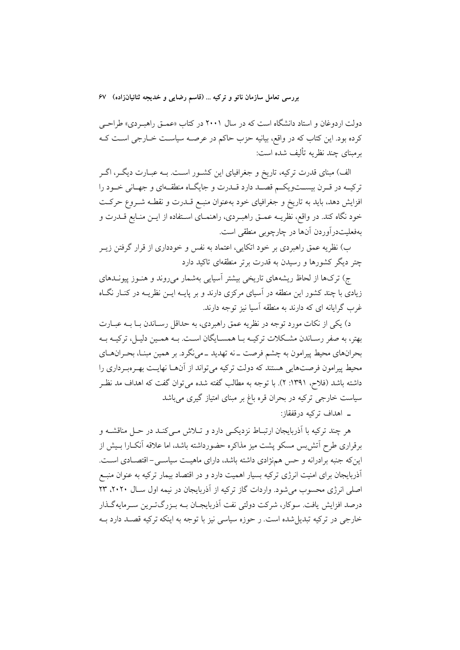دولت اردوغان و استاد دانشگاه است که در سال ۲۰۰۱ در کتاب «عمـق راهبـردی» طراحـی کرده بود. این کتاب که در واقع، بیانیه حزب حاکم در عرصـه سیاسـت خـارجی اسـت کـه برمبنای چند نظریه تألیف شده است:

الف) مبنای قدرت ترکیه، تاریخ و جغرافیای این کشــور اســت. بــه عبــارت دیگــر، اگــر ترکیــه در قــرن بیســتویکــم قصــد دارد قــدرت و جایگــاه منطقــهای و جهــانی خــود را افزایش دهد، باید به تاریخ و جغرافیای خود بهعنوان منبـع قــدرت و نقطــه شــروع حرکــت خود نگاه كند. در واقع، نظريــه عمــق راهبــردي، راهنمــاي اســتفاده از ايــن منــابع قـــدرت و بهفعليتدرآوردن آنها در چارچوبي منطقي است.

ب) نظریه عمق راهبردی بر خود اتکایی، اعتماد به نفس و خودداری از قرار گرفتن زیــر چتر دیگر کشورها و رسیدن به قدرت برتر منطقهای تاکید دارد

ج) ترکها از لحاظ ریشههای تاریخی بیشتر آسیایی بهشمار میروند و هنـوز پیونــدهای زیادی با چند کشور این منطقه در آسیای مرکزی دارند و بر پایــه ایــن نظریــه در کنــار نگــاه غرب گرایانه ای که دارند به منطقه آسیا نیز توجه دارند.

د) یکی از نکات مورد توجه در نظریه عمق راهبردی، به حداقل رسـاندن بـا بــه عبــارت بهتر، به صفر رسـاندن مشـكلات تركيــه بــا همســايگان اســت. بــه همــين دليــل، تركيــه بــه بحرانهای محیط پیرامون به چشم فرصت ــ نه تهدید ــ می نگرد. بر همین مبنــا، بحــرانهــای محیط پیرامون فرصتهایی هستند که دولت ترکیه می تواند از آنهـا نهایـت بهـرهبـرداری را داشته باشد (فلاح، ۱۳۹۱: ۲). با توجه به مطالب گفته شده میتوان گفت که اهداف مد نظـر سیاست خارجی ترکیه در بحران قره باغ بر مبنای امتیاز گیری میباشد

ـ اهداف تركيه درقفقاز:

هر چند ترکیه با اَذربایجان ارتبـاط نزدیکـی دارد و تــلاش مـیکنـد در حــل مناقشــه و برقراری طرح اّتش بس مسکو پشت میز مذاکره حضورداشته باشد، اما علاقه اّنکـارا بـیش از این که جنبه برادرانه و حس همز ادی داشته باشد، دارای ماهیت سیاست – اقتصـادی اسـت. اَذربایجان برای امنیت انرژی ترکیه بسیار اهمیت دارد و در اقتصاد بیمار ترکیه به عنوان منبــع اصلی انرژی محسوب می شود. واردات گاز ترکیه از آذربایجان در نیمه اول سـال ۲۰۲۰، ۲۳ درصد افزایش یافت. سوکار، شرکت دولتی نفت آذربایجـان بــه بــزرگتــرین ســرمایهگــذار خارجي در تركيه تبديل شده است. ر حوزه سياسي نيز با توجه به اينكه تركيه قصـد دارد بــه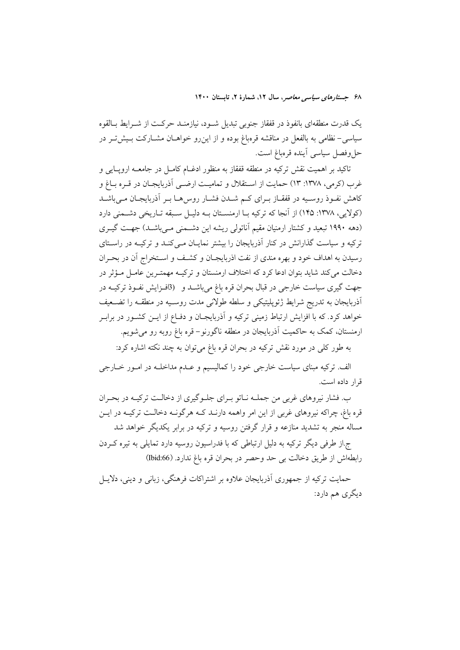یک قدرت منطقهای بانفوذ در قفقاز جنوبی تبدیل شـود، نیازمنـد حرکـت از شـرایط بـالقوه سیاسی-نظامی به بالفعل در مناقشه قرمباغ بوده و از این رو خواهـان مشـارکت بـیش تـر در حل وفصل سياسي أينده قرهباغ است.

تاکید بر اهمیت نقش ترکیه در منطقه قفقاز به منظور ادغــام کامــل در جامعــه ارویــایی و غرب (کرمی، ۱۳۷۸: ۱۳) حمایت از اسـتقلال و تمامیـت ارضـی اَذربایجـان در قـره بــاغ و کاهش نفـوذ روسـیه در قفقـاز بـرای کـم شــدن فشـار روس۵هـا بـر آذربایجـان مــی،باشــد (کولايي، ١٣٧٨: ١۴۵) از آنجا که ترکيه بـا ارمنسـتان بـه دليـل سـبقه تـاريخي دشـمني دارد (دهه ۱۹۹۰ تبعید و کشتار ارمنیان مقیم آناتولی ریشه این دشمنی می باشد) جهت گیری ترکیه و سیاست گذارانش در کنار آذربایجان را بیشتر نمایـان مـیکنـد و ترکیـه در راسـتای رسیدن به اهداف خود و بهره مندی از نفت اذربایجـان و کشـف و اسـتخراج آن در بحـران دخالت می کند شاید بتوان ادعا کرد که اختلاف ارمنستان و ترکیـه مهمتـرین عامـل مـؤثر در جهت گیری سیاست خارجی در قبال بحران قره باغ میباشـد و (9افـزایش نفـوذ ترکیــه در آذربایجان به تدریج شرایط ژئوپلیتیکی و سلطه طولانی مدت روسـیه در منطقــه را تضــعیف خواهد کرد. که با افزایش ارتباط زمینی ترکیه و آذربایجـان و دفـاع از ایــن کشــور در برابـر ارمنستان، کمک به حاکمیت آذربایجان در منطقه ناگورنو– قره باغ روبه رو میشویم.

به طور کلبی در مورد نقش ترکیه در بحران قره باغ میتوان به چند نکته اشاره کرد:

الف. ترکیه مبنای سیاست خارجی خود را کمالیسیم و عــدم مداخلــه در امــور خــارجی قرار داده است.

ب. فشار نیروهای غربی من جملـه نـاتو بـرای جلـوگیری از دخالـت ترکیـه در بحـران قره باغ، چراکه نیروهای غربی از این امر واهمه دارنـد کـه هرگونـه دخالـت ترکیـه در ایــن مساله منجر به تشدید منازعه و قرار گرفتن روسیه و ترکیه در برابر یکدیگر خواهد شد

ج.از طرفی دیگر ترکیه به دلیل ارتباطی که با فدراسیون روسیه دارد تمایلی به تیره که دن رابطهاش از طريق دخالت بي حد وحصر در بحران قره باغ ندارد. (Ibid:66)

حمایت ترکیه از جمهوری آذربایجان علاوه بر اشتراکات فرهنگی، زبانی و دینی، دلایــل دیگری هم دارد: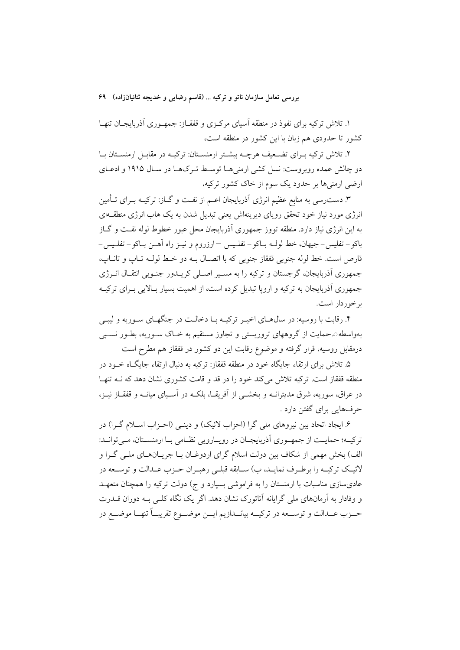۱. تلاش ترکیه برای نفوذ در منطقه آسیای مرکـزی و قفقـاز: جمهـوری اَذربایجـان تنهـا کشور تا حدودی هم زبان با این کشور در منطقه است،

۲. تلاش ترکیه بـرای تضـعیف هرچــه بیشــتر ارمنســتان: ترکیــه در مقابــل ارمنســتان بــا دو چالش عمده روبروست: نسل کشی ارمنی هـا توسـط تـرکهـا در سـال ۱۹۱۵ و ادعــای ارضی ارمنیها بر حدود یک سوم از خاک کشور ترکیه،

۳. دست٫سی به منابع عظیم انرژی آذربایجان اعــم از نفـت و گــاز: ترکیــه بــرای تــأمین انرژی مورد نیاز خود تحقق رویای دیرینهاش یعنی تبدیل شدن به یک هاب انرژی منطقـهای به این انرژی نیاز دارد. منطقه تووز جمهوری اَذربایجان محل عبور خطوط لوله نفـت و گــاز باكو– تفليس– جيهان، خط لولـه بــاكو– تفلـيس —ارزروم و نيــز راه آهــن بــاكو– تفلـيس– قارص است. خط لوله جنوبي قفقاز جنوبي كه با اتصـال بــه دو خـط لولــه تــاب و تانــاب، جمهوری آذربایجان، گرجستان و ترکیه را به مسـیر اصـلی کریــدور جنــوبی انتقــال انــرژی جمهوری آذربایجان به ترکیه و اروپا تبدیل کرده است، از اهمیت بسیار بـالایی بـرای ترکیـه بر خوردار است.

۴. رقابت با روسیه: در سالهـای اخیـر ترکیـه بـا دخالـت در جنگهـای سـوریه و لیبـی بهواسطه۞حمایت از گروههای تروریستی و تجاوز مستقیم به خـاک سـوریه، بطـور نسـبی درمقابل روسیه، قرار گرفته و موضوع رقابت این دو کشور در قفقاز هم مطرح است

۵. تلاش برای ارتقاء جایگاه خود در منطقه قفقاز: ترکیه به دنبال ارتقاء جایگـاه خــود در منطقه قفقاز است. ترکیه تلاش می کند خود را در قد و قامت کشوری نشان دهد که به تنهـا در عراق، سوریه، شرق مدیترانــه و بخشــی از آفریقــا، بلکــه در آســیای میانــه و قفقــاز نیــز، حرفهایی برای گفتن دارد .

۶. ایجاد اتحاد بین نیروهای ملی گرا (احزاب لائیک) و دینـی (احـزاب اسـلام گـرا) در ترکیـه؛ حمایـت از جمهـوري آذربايجـان در رويـارويي نظـامي بـا ارمنسـتان، مـيتوانــد: الف) بخش مهمی از شکاف بین دولت اسلام گرای اردوغـان بـا جریـانهـای ملـی گـرا و لائيــک ترکيــه را برطــرف نمايــد، ب) ســابقه قبلــي رهبــران حــزب عــدالت و توســعه در عادیسازی مناسبات با ارمنستان را به فراموشی بسپارد و ج) دولت ترکیه را همچنان متعهـد و وفادار به آرمانهای ملی گرایانه آتاتورک نشان دهد. اگر یک نگاه کلـی بـه دوران قــدرت حــزب عــدالت و توســعه در تركيــه بيانــدازيم ايــن موضــوع تقريبــاً تنهــا موضــع در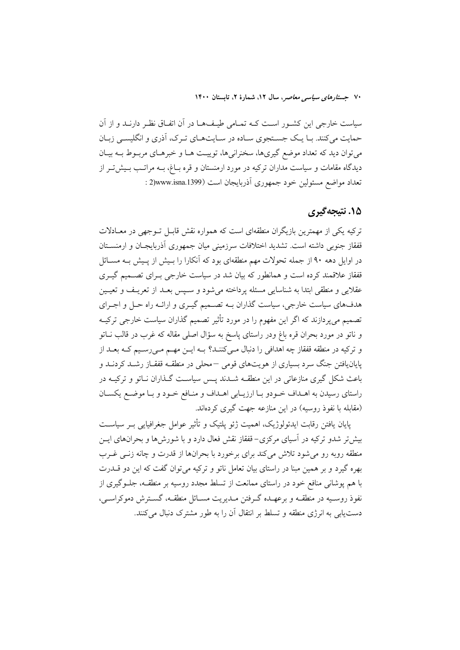سیاست خارجی این کشـور اسـت کـه تمـامی طیـفA در آن اتفـاق نظـر دارنــد و از آن حمایت میکنند. بـا یـک جسـتجوی سـاده در سـایتهـای تـرک، آذری و انگلیسـی زبـان میتوان دید که تعداد موضع گیریها، سخنرانیها، توییت هـا و خبرهـای مربـوط بـه بیـان دیدگاه مقامات و سیاست مداران ترکیه در مورد ارمنستان و قره بـاغ، بـه مراتـب بـیش5تـر از تعداد مواضع مسئولين خود جمهوري آذربايجان است (2)www.isna.1399 :

#### **۱۵. نتيجه گېري**

ترکیه یکی از مهمترین بازیگران منطقهای است که همواره نقش قابـل تــوجهی در معــادلات قفقاز جنوبی داشته است. تشدید اختلافات سرزمینی میان جمهوری آذربایجـان و ارمنســتان در اوایل دهه ۹۰ از جمله تحولات مهم منطقهای بود که آنکارا را بـیش از پـیش بـه مســائل قفقاز علاقمند کرده است و همانطور که بیان شد در سیاست خارجی بـرای تصــمیم گیــری عقلایی و منطقی ابتدا به شناسایی مسئله پرداخته می شود و سـپس بعـد از تعریـف و تعیـین هدفهای سیاست خارجی، سیاست گذاران بـه تصـمیم گیـری و ارائـه راه حـل و اجـرای تصمیم می پردازند که اگر این مفهوم را در مورد تأثیر تصمیم گذاران سیاست خارجی ترکیــه و ناتو در مورد بحران قره باغ ودر راستای پاسخ به سؤال اصلی مقاله که غرب در قالب نــاتو و ترکیه در منطقه قفقاز چه اهدافی را دنبال مـیکننـد؟ بـه ایـن مهـم مـیرسـیم کـه بعـد از پایان یافتن جنگ سرد بسیاری از هویتهای قومی –محلی در منطقـه قفقـاز رشــد کردنــد و باعث شکل گیری منازعاتی در این منطقــه شــدند پــس سیاســت گــذاران نــاتو و ترکیــه در راستای رسیدن به اهـداف خـودو بـا ارزیـابی اهـداف و منـافع خـود و بـا موضـع یکسـان (مقابله با نفوذ روسیه) در این منازعه جهت گیری کردهاند.

یابان بافتن رقابت ایدئولوژیک، اهمیت ژئو پلتیک و تأثیر عوامل جغرافیایی بـر سیاســت بیش تر شدو ترکیه در آسیای مرکزی–قفقاز نقش فعال دارد و با شورشها و بحرانهای ایـن منطقه روبه رو می شود تلاش می کند برای برخورد با بحرانها از قدرت و چانه زنــی غــرب بهره گیرد و بر همین مبنا در راستای بیان تعامل ناتو و ترکیه می توان گفت که این دو قـــدرت با هم پوشانی منافع خود در راستای ممانعت از تسلط مجدد روسیه بر منطقـه، جلــوگیری از نفوذ روسـيه در منطقــه و برعهــده گــرفتن مــديريت مســائل منطقــه، گســترش دموكراســي، دست یابی به انرژی منطقه و تسلط بر انتقال آن را به طور مشترک دنبال می کنند.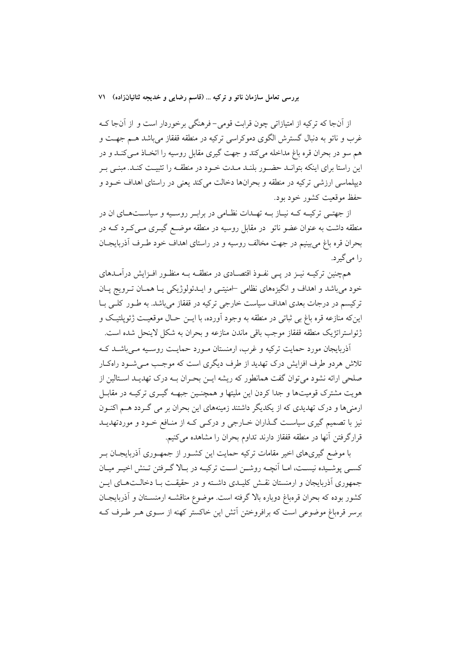از اّنجا که ترکیه از امتیازاتی چون قرابت قومی-فرهنگی برخوردار است و از اّنجا کـه غرب و ناتو به دنبال گسترش الگوی دموکراسی ترکیه در منطقه قفقاز می باشد هــم جهــت و هم سو در بحران قره باغ مداخله میکند و جهت گیری مقابل روسیه را اتخـاذ مـیکنــد و در این راستا برای اینکه بتوانـد حضـور بلنـد مـدت خـود در منطقـه را تثبیـت کنـد. مبنـی بـر دیپلماسی ارزشی ترکیه در منطقه و بحرانها دخالت می کند یعنی در راستای اهداف خـود و حفظ موقعیت کشور خود بود.

از جهتــي ترکيــه کــه نيــاز بــه تهــدات نظــامي در برابـر روســيه و سياســتهــاي ان در منطقه داشت به عنوان عضو ناتو ً در مقابل روسیه در منطقه موضـع گیــری مــیکــرد کــه در بحران قره باغ مي بينيم در جهت مخالف روسيه و در راستاي اهداف خود طـرف اَذربايجــان را می گیر د.

همچنین ترکیــه نیــز در پــی نفــوذ اقتصــادی در منطقــه بــه منظــور افــزایش درآمــدهای خود می باشد و اهداف و انگیزههای نظامی اسنیتمی و ایـدئولوژیکی یـا همـان تـرویج پـان ترکیسم در درجات بعدی اهداف سیاست خارجی ترکیه در قفقاز میباشد. به طـور کلـی بـا اينِکه منازعه قره باغ بي ثباتي در منطقه به وجود آورده، با ايــن حــال موقعيــت ژئويلتيـک و ژئواستراتژیک منطقه قفقاز موجب باقی ماندن منازعه و بحران به شکل لاینحل شده است.

اَذربایجان مورد حمایت ترکیه و غرب، ارمنستان مـورد حمایـت روسـیه مـی باشـد کـه تلاش هردو طرف افزایش درک تهدید از طرف دیگری است که موجب مـی شـود راهکـار صلحی ارائه نشود می توان گفت همانطور که ریشه ایــن بحــران بــه درک تهدیــد اســتالین از هویت مشترک قومیتها و جدا کردن این ملیتها و همچنـین جبهــه گیــری ترکیــه در مقابــل ارمنیها و درک تهدیدی که از یکدیگر داشتند زمینههای این بحران بر می گردد هـم اکنـون نیز با تصمیم گیری سیاست گـذاران خـارجی و درکـی کـه از منـافع خـود و موردتهدیــد قرارگرفتن آنها در منطقه قفقاز دارند تداوم بحران را مشاهده میکنیم.

با موضع گیریهای اخیر مقامات ترکیه حمایت این کشـور از جمهـوری اَذربایجـان بـر كسبي يوشـيده نيسـت، امــا أنچــه روشــن اســت تركيــه در بــالا گــرفتن تـنش اخيــر ميــان جمهوری اَذربایجان و ارمنستان نقـش کلیـدی داشـته و در حقیقـت بـا دخالـتهـای ایـن کشور بوده که بحران قرهباغ دوباره بالا گرفته است. موضوع مناقشـه ارمنسـتان و آذربايجـان برسر قرهباغ موضوعی است که برافروختن آتش این خاکستر کهنه از سـوی هـر طـرف کـه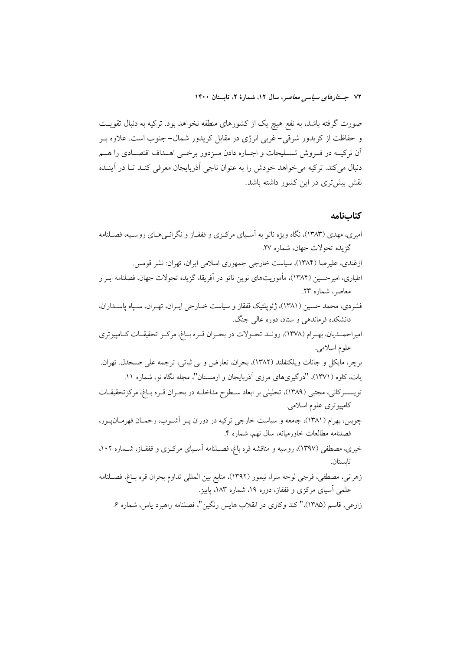صورت گرفته باشد، به نفع هیچ یک از کشورهای منطقه نخواهد بود. ترکیه به دنبال تقویــت و حفاظت از کریدور شرقی– غربی انرژی در مقابل کریدور شمال– جنوب است. علاوه بـر اّن ترکیــه در فــروش تســلیحات و اجــاره دادن مــزدور برخــي اهــداف اقتصــادي را هــم دنبال میکند. ترکیه میخواهد خودش را به عنوان ناجی آذربایجان معرفی کنـد تـا در آینـده نقش بیشتری در این کشور داشته باشد.

#### كتابنامه

| امیری، مهدی (۱۳۸۳)، نگاه ویژه ناتو به آسـیای مرکـزی و قفقـاز و نگرانـیهـای روسـیه، فصـلنامه         |
|-----------------------------------------------------------------------------------------------------|
| گزیده تحولات جهان، شماره ۲۷.                                                                        |
| ازغندی، علیرضا (۱۳۸۴)، سیاست خارجی جمهوری اسلامی ایران، تهران: نشر قومس.                            |
| اطباری، امیرحسین (۱۳۸۴). مأموریتهای نوین ناتو در اَفریقا، گزیده تحولات جهان، فصلنامه ابـرار         |
| معاصر، شماره ۲۳.                                                                                    |
| فشردی، محمد حسین (۱۳۸۱)، ژئوپلتیک قفقاز و سیاست خــارجی ایــران، تهــران، ســپاه پاســداران،        |
| دانشکده فرماندهی و ستاد، دوره عالی جنگ.                                                             |
| امیراحمــدیان، بهــرام (۱۳۷۸)، رونــد تحــولات در بحــران قــره بــاغ، مرکــز تحقیقــات کــامپیوتری |
| علوم اسلامي.                                                                                        |
| برچر، مایکل و جانات ویلکنفلند (۱۳۸۲)، بحران، تعارض و بی ثباتی، ترجمه علی صبحدل. تهران.              |
| یات، کاوه (۱۳۷۱)، "درگیریهای مرزی آذربایجان و ارمنستان"، مجله نگاه نو، شماره ۱۱.                    |
| تویسسرکانی، مجتبی (۱۳۸۹)، تحلیلی بر ابعاد سـطوح مداخلــه در بحــران قــره بــاغ، مرکزتحقیقــات      |
| کامپیوتری علوم اسلامی.                                                                              |
| چوبین، بهرام (۱۳۸۱)، جامعه و سیاست خارجی ترکیه در دوران پــر آشــوب، رحمــان قهرمــانﭘــور،         |
| فصلنامه مطالعات خاورميانه، سال نهم، شماره ۴.                                                        |
| خیری، مصطفی (۱۳۹۷)، روسیه و مناقشه قره باغ، فصـلنامه آسـیای مرکـزی و قفقـاز، شــماره ۰۰۲،           |
| تابستان.                                                                                            |
| زهرانی، مصطفی، فرجی لوحه سرا، تیمور (۱۳۹۲)، منابع بین المللی تداوم بحران قره بــاغ، فصــلنامه       |
| علمی آسیای مرکزی و قفقاز، دوره ۱۹، شماره ۱۸۳، پاییز.                                                |
| زارعی، قاسم (۱۳۸۵)،" کند وکاوی در انقلاب هایس رنگین"، فصلنامه راهبرد یاس، شماره ۶.                  |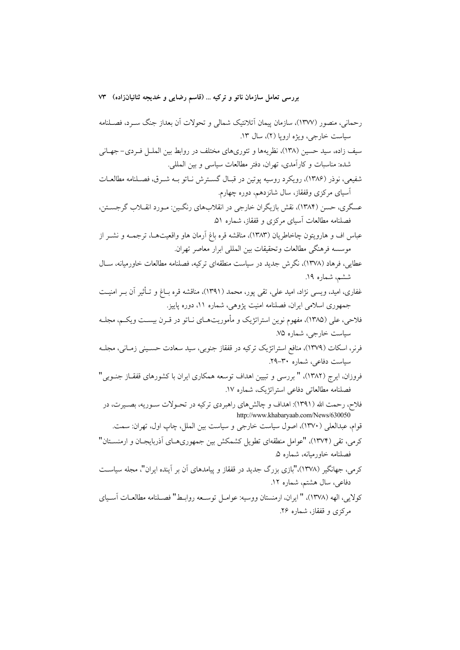رحمانی، منصور (۱۳۷۷)، سازمان پیمان آتلانتیک شمالی و تحولات آن بعداز جنگ سـرد، فصـلنامه سياست خارجي، ويژه اروپا (٢)، سال ١٣. سیف زاده، سید حسین (۱۳۸)، نظریهها و تئوریهای مختلف در روابط بین الملـل فـردی- جهـانی شده: مناسبات و كارآمدي، تهران، دفتر مطالعات سياسي و بين المللي. شفيعي، نوذر (۱۳۸۶)، رويكرد روسيه يوتين در قبـال گســترش نــاتو بــه شــرق، فصــلنامه مطالعــات آسیای مرکزی وقفقاز، سال شانزدهم، دوره چهارم. عسگري، حسن (١٣٨۴)، نقش بازيگران خارجي در انقلابهاي رنگـين: مـورد انقــلاب گرجســتن، فصلنامه مطالعات آسیای مرکزی و قفقاز، شماره ۵۱. عباس اف و هارويتون چاخاطريان (١٣٨٣)، مناقشه قره باغ اَرمان هاو واقعيتهــا، ترجمــه و نشــر از موسسه فرهنگي مطالعات وتحقيقات بين المللي ابرار معاصر تهران. عطایی، فرهاد (۱۳۷۸)، نگرش جدید در سیاست منطقهای ترکیه، فصلنامه مطالعات خاورمیانه، سـال ششم، شماره ۱۹. غفاري، اميد، ويسى نژاد، اميد علي، تقى يور، محمد (١٣٩١)، مناقشه قره بــاغ و تــأثير آن بــر امنيــت جمهوری اسلامی ایران، فصلنامه امنیت پژوهی، شماره ۱۱، دوره پاییز. فلاحی، علی (۱۳۸۵)، مفهوم نوین استراتژیک و مأموریتهـای نـاتو در قـرن بیســت ویکــم، مجلــه سیاست خارجی، شماره ۷۵. فرنر، اسکات (۱۳۷۹)، منافع استراتژیک ترکیه در قفقاز جنوبی، سید سعادت حسـینی زمـانی، مجلـه سیاست دفاعی، شماره ۳۰–۲۹. فروزان، ايرج (١٣٨٢)، " بررسي و تبيين اهداف توسعه همكاري ايران با كشورهاي قفقـاز جنـوبي'" فصلنامه مطالعاتي دفاعي استراتژيک، شماره ١٧. فلاح، رحمت الله (١٣٩١): اهداف و چالشهای راهبردی ترکیه در تحـولات ســوریه، بصــیرت، در http://www.khabaryaab.com/News/630050 قوام، عبدالعلي (١٣٧٠)، اصول سياست خارجي و سياست بين الملل، چاپ اول، تهران: سمت. کرمی، تقی (۱۳۷۴)، "عوامل منطقهای تطویل کشمکش بین جمهوریهـای آذربایجـان و ارمنســتان" فصلنامه خاورميانه، شماره ۵. کرمی، جهانگیر (۱۳۷۸)،"بازی بزرگ جدید در قفقاز و پیامدهای آن بر آینده ایران"، مجله سیاست دفاعی، سال هشتم، شماره ۱۲. كولايي، الهه (١٣٧٨)، " إيران، ارمنستان ووسيه: عوامـل توسـعه روابـط" فصـلنامه مطالعـات أسـياي مرکزی و قفقاز، شماره ۲۶.